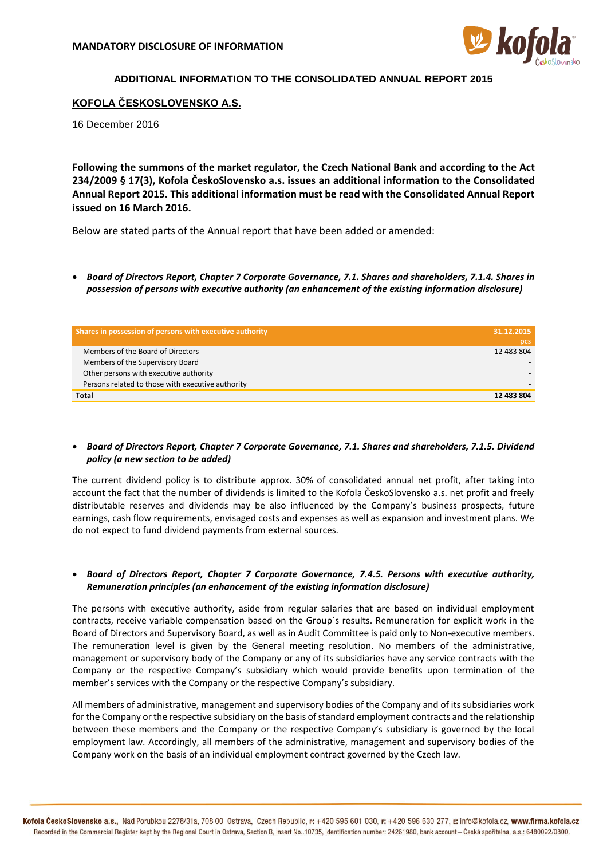

# **ADDITIONAL INFORMATION TO THE CONSOLIDATED ANNUAL REPORT 2015**

# **KOFOLA ČESKOSLOVENSKO A.S.**

16 December 2016

**Following the summons of the market regulator, the Czech National Bank and according to the Act 234/2009 § 17(3), Kofola ČeskoSlovensko a.s. issues an additional information to the Consolidated Annual Report 2015. This additional information must be read with the Consolidated Annual Report issued on 16 March 2016.** 

Below are stated parts of the Annual report that have been added or amended:

 *Board of Directors Report, Chapter 7 Corporate Governance, 7.1. Shares and shareholders, 7.1.4. Shares in possession of persons with executive authority (an enhancement of the existing information disclosure)*

| Shares in possession of persons with executive authority | 31.12.2015 |
|----------------------------------------------------------|------------|
|                                                          | pcs        |
| Members of the Board of Directors                        | 12 483 804 |
| Members of the Supervisory Board                         |            |
| Other persons with executive authority                   |            |
| Persons related to those with executive authority        |            |
| Total                                                    | 12 483 804 |

## *Board of Directors Report, Chapter 7 Corporate Governance, 7.1. Shares and shareholders, 7.1.5. Dividend policy (a new section to be added)*

The current dividend policy is to distribute approx. 30% of consolidated annual net profit, after taking into account the fact that the number of dividends is limited to the Kofola ČeskoSlovensko a.s. net profit and freely distributable reserves and dividends may be also influenced by the Company's business prospects, future earnings, cash flow requirements, envisaged costs and expenses as well as expansion and investment plans. We do not expect to fund dividend payments from external sources.

#### *Board of Directors Report, Chapter 7 Corporate Governance, 7.4.5. Persons with executive authority, Remuneration principles (an enhancement of the existing information disclosure)*

The persons with executive authority, aside from regular salaries that are based on individual employment contracts, receive variable compensation based on the Group´s results. Remuneration for explicit work in the Board of Directors and Supervisory Board, as well as in Audit Committee is paid only to Non-executive members. The remuneration level is given by the General meeting resolution. No members of the administrative, management or supervisory body of the Company or any of its subsidiaries have any service contracts with the Company or the respective Company's subsidiary which would provide benefits upon termination of the member's services with the Company or the respective Company's subsidiary.

All members of administrative, management and supervisory bodies of the Company and of its subsidiaries work for the Company or the respective subsidiary on the basis of standard employment contracts and the relationship between these members and the Company or the respective Company's subsidiary is governed by the local employment law. Accordingly, all members of the administrative, management and supervisory bodies of the Company work on the basis of an individual employment contract governed by the Czech law.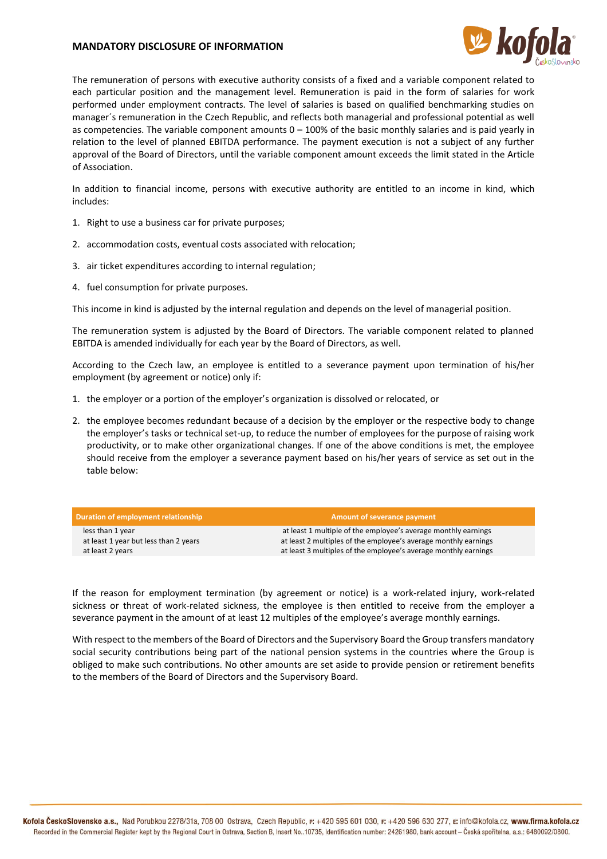## **MANDATORY DISCLOSURE OF INFORMATION**



The remuneration of persons with executive authority consists of a fixed and a variable component related to each particular position and the management level. Remuneration is paid in the form of salaries for work performed under employment contracts. The level of salaries is based on qualified benchmarking studies on manager´s remuneration in the Czech Republic, and reflects both managerial and professional potential as well as competencies. The variable component amounts  $0 - 100\%$  of the basic monthly salaries and is paid yearly in relation to the level of planned EBITDA performance. The payment execution is not a subject of any further approval of the Board of Directors, until the variable component amount exceeds the limit stated in the Article of Association.

In addition to financial income, persons with executive authority are entitled to an income in kind, which includes:

- 1. Right to use a business car for private purposes;
- 2. accommodation costs, eventual costs associated with relocation;
- 3. air ticket expenditures according to internal regulation;
- 4. fuel consumption for private purposes.

This income in kind is adjusted by the internal regulation and depends on the level of managerial position.

The remuneration system is adjusted by the Board of Directors. The variable component related to planned EBITDA is amended individually for each year by the Board of Directors, as well.

According to the Czech law, an employee is entitled to a severance payment upon termination of his/her employment (by agreement or notice) only if:

- 1. the employer or a portion of the employer's organization is dissolved or relocated, or
- 2. the employee becomes redundant because of a decision by the employer or the respective body to change the employer's tasks or technical set-up, to reduce the number of employees for the purpose of raising work productivity, or to make other organizational changes. If one of the above conditions is met, the employee should receive from the employer a severance payment based on his/her years of service as set out in the table below:

| Duration of employment relationship   | Amount of severance payment                                     |
|---------------------------------------|-----------------------------------------------------------------|
| less than 1 year                      | at least 1 multiple of the employee's average monthly earnings  |
| at least 1 year but less than 2 years | at least 2 multiples of the employee's average monthly earnings |
| at least 2 years                      | at least 3 multiples of the employee's average monthly earnings |

If the reason for employment termination (by agreement or notice) is a work-related injury, work-related sickness or threat of work-related sickness, the employee is then entitled to receive from the employer a severance payment in the amount of at least 12 multiples of the employee's average monthly earnings.

With respect to the members of the Board of Directors and the Supervisory Board the Group transfers mandatory social security contributions being part of the national pension systems in the countries where the Group is obliged to make such contributions. No other amounts are set aside to provide pension or retirement benefits to the members of the Board of Directors and the Supervisory Board.